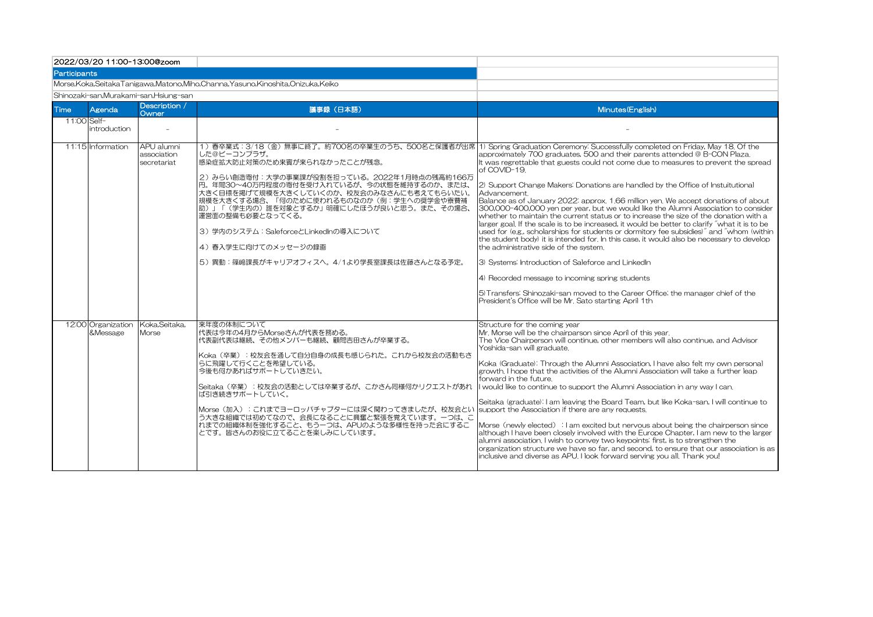| 2022/03/20 11:00-13:00@zoom                                                            |                                |                                          |                                                                                                                                                                                                                                                                                                                                                                                                                                                                            |                                                                                                                                                                                                                                                                                                                                                                                                                                                                                                                                                                                                                                                                                                                                                                                                                                                                                                                                                                                                                                                                                                                                                                                                                                                                                          |  |  |  |  |  |
|----------------------------------------------------------------------------------------|--------------------------------|------------------------------------------|----------------------------------------------------------------------------------------------------------------------------------------------------------------------------------------------------------------------------------------------------------------------------------------------------------------------------------------------------------------------------------------------------------------------------------------------------------------------------|------------------------------------------------------------------------------------------------------------------------------------------------------------------------------------------------------------------------------------------------------------------------------------------------------------------------------------------------------------------------------------------------------------------------------------------------------------------------------------------------------------------------------------------------------------------------------------------------------------------------------------------------------------------------------------------------------------------------------------------------------------------------------------------------------------------------------------------------------------------------------------------------------------------------------------------------------------------------------------------------------------------------------------------------------------------------------------------------------------------------------------------------------------------------------------------------------------------------------------------------------------------------------------------|--|--|--|--|--|
| Participants                                                                           |                                |                                          |                                                                                                                                                                                                                                                                                                                                                                                                                                                                            |                                                                                                                                                                                                                                                                                                                                                                                                                                                                                                                                                                                                                                                                                                                                                                                                                                                                                                                                                                                                                                                                                                                                                                                                                                                                                          |  |  |  |  |  |
| Morse, Koka, Seitaka Tanigawa, Matono, Miho, Channa, Yasuno, Kinoshita, Onizuka, Keiko |                                |                                          |                                                                                                                                                                                                                                                                                                                                                                                                                                                                            |                                                                                                                                                                                                                                                                                                                                                                                                                                                                                                                                                                                                                                                                                                                                                                                                                                                                                                                                                                                                                                                                                                                                                                                                                                                                                          |  |  |  |  |  |
|                                                                                        |                                | Shinozaki-san,Murakami-san,Hsiung-san    |                                                                                                                                                                                                                                                                                                                                                                                                                                                                            |                                                                                                                                                                                                                                                                                                                                                                                                                                                                                                                                                                                                                                                                                                                                                                                                                                                                                                                                                                                                                                                                                                                                                                                                                                                                                          |  |  |  |  |  |
| Time                                                                                   | Agenda                         | Description /<br>Owner                   | 議事録 (日本語)                                                                                                                                                                                                                                                                                                                                                                                                                                                                  | Minutes (English)                                                                                                                                                                                                                                                                                                                                                                                                                                                                                                                                                                                                                                                                                                                                                                                                                                                                                                                                                                                                                                                                                                                                                                                                                                                                        |  |  |  |  |  |
| 11:00 Self-                                                                            | introduction                   |                                          |                                                                                                                                                                                                                                                                                                                                                                                                                                                                            |                                                                                                                                                                                                                                                                                                                                                                                                                                                                                                                                                                                                                                                                                                                                                                                                                                                                                                                                                                                                                                                                                                                                                                                                                                                                                          |  |  |  |  |  |
|                                                                                        | 11:15 Information              | APU alumni<br>association<br>secretariat | した@ビーコンプラザ。<br> 感染症拡大防止対策のため来賓が来られなかったことが残念。<br>2) みらい創造寄付: 大学の事業課が役割を担っている。2022年1月時点の残高約166万<br>円。年間30~40万円程度の寄付を受け入れているが、今の状態を維持するのか、または、<br>大きく目標を掲げて規模を大きくしていくのか、校友会のみなさんにも考えてもらいたい。<br>規模を大きくする場合、「何のために使われるものなのか(例:学生への奨学金や寮費補<br> 助)」「(学生内の)誰を対象とするか」明確にしたほうが良いと思う。また、その場合、<br>運営面の整備も必要となってくる。<br>3) 学内のシステム: SaleforceとLinkedInの導入について<br> 4) 春入学生に向けてのメッセージの録画<br> 5) 異動:篠﨑課長がキャリアオフィスへ。4/1より学長室課長は佐藤さんとなる予定。                                                    | 1) 春卒業式:3/18(金)無事に終了。約700名の卒業生のうち、500名と保護者が出席  1) Spring Graduation Ceremony: Successfully completed on Friday, May 18, Of the<br>approximately 700 graduates, 500 and their parents attended @ B-CON Plaza.<br>It was regrettable that guests could not come due to measures to prevent the spread<br>of COVID-19.<br>[2] Support Change Makers: Donations are handled by the Office of Instuitutional<br>Advancement.<br>Balance as of January 2022: approx. 1.66 million yen. We accept donations of about<br>300,000-400,000 yen per year, but we would like the Alumni Association to consider<br>whether to maintain the current status or to increase the size of the donation with a<br>larger goal. If the scale is to be increased, it would be better to clarify "what it is to be<br>used for (e.g., scholarships for students or dormitory fee subsidies)" and "whom (within<br>the student body) it is intended for. In this case, it would also be necessary to develop<br>the administrative side of the system.<br>3) Systems: Introduction of Saleforce and LinkedIn<br>4) Recorded message to incoming spring students<br>[5] Transfers: Shinozaki-san moved to the Career Office; the manager chief of the<br>President's Office will be Mr. Sato starting April 1th |  |  |  |  |  |
|                                                                                        | 12:00 Organization<br>&Message | Koka, Seitaka,<br>Morse                  | 来年度の体制について<br>代表は今年の4月からMorseさんが代表を務める。<br>代表副代表は継続、その他メンバーも継続、顧問吉田さんが卒業する。<br> Koka(卒業):校友会を通して自分自身の成長も感じられた。これから校友会の活動もさ<br> らに飛躍して行くことを希望している。<br>今後も何かあればサポートしていきたい。<br> Seitaka(卒業):校友会の活動としては卒業するが、こかさん同様何かリクエストがあれ<br>ば引き続きサポートしていく。<br> Morse(加入):これまでヨーロッパチャプターには深く関わってきましたが、校友会とい  support the Association if there are any requests.<br>う大きな組織では初めてなので、会長になることに興奮と緊張を覚えています。一つは、こ<br> れまでの組織体制を強化すること、もう一つは、APUのような多様性を持った会にするこ<br> とです。皆さんのお役に立てることを楽しみにしています。 | Structure for the coming year<br>Mr. Morse will be the chairparson since April of this year.<br>The Vice Chairperson will continue, other members will also continue, and Advisor<br>Yoshida-san will graduate.<br>[Koka (Graduate): Through the Alumni Association, I have also felt my own personal<br>growth. I hope that the activities of the Alumni Association will take a further leap<br>forward in the future.<br>I would like to continue to support the Alumni Association in any way I can.<br>Seitaka (graduate): I am leaving the Board Team, but like Koka-san, I will continue to<br>Morse (newly elected) : I am excited but nervous about being the chairperson since<br>although I have been closely involved with the Europe Chapter, I am new to the larger<br>alumni association. I wish to convey two keypoints: first, is to strengthen the<br>organization structure we have so far, and second, to ensure that our association is as<br>inclusive and diverse as APU. I look forward serving you all. Thank you!                                                                                                                                                                                                                                              |  |  |  |  |  |